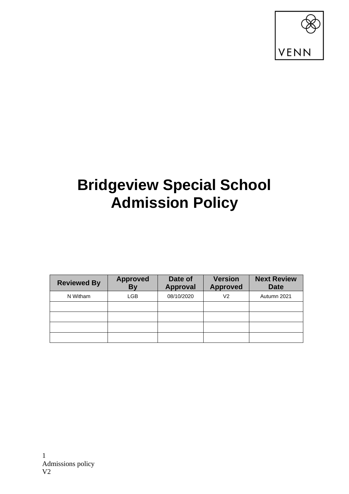

## **Bridgeview Special School Admission Policy**

| <b>Reviewed By</b> | <b>Approved</b><br>By | Date of<br><b>Approval</b> | <b>Version</b><br><b>Approved</b> | <b>Next Review</b><br><b>Date</b> |
|--------------------|-----------------------|----------------------------|-----------------------------------|-----------------------------------|
| N Witham           | LGB                   | 08/10/2020                 | V2                                | Autumn 2021                       |
|                    |                       |                            |                                   |                                   |
|                    |                       |                            |                                   |                                   |
|                    |                       |                            |                                   |                                   |
|                    |                       |                            |                                   |                                   |